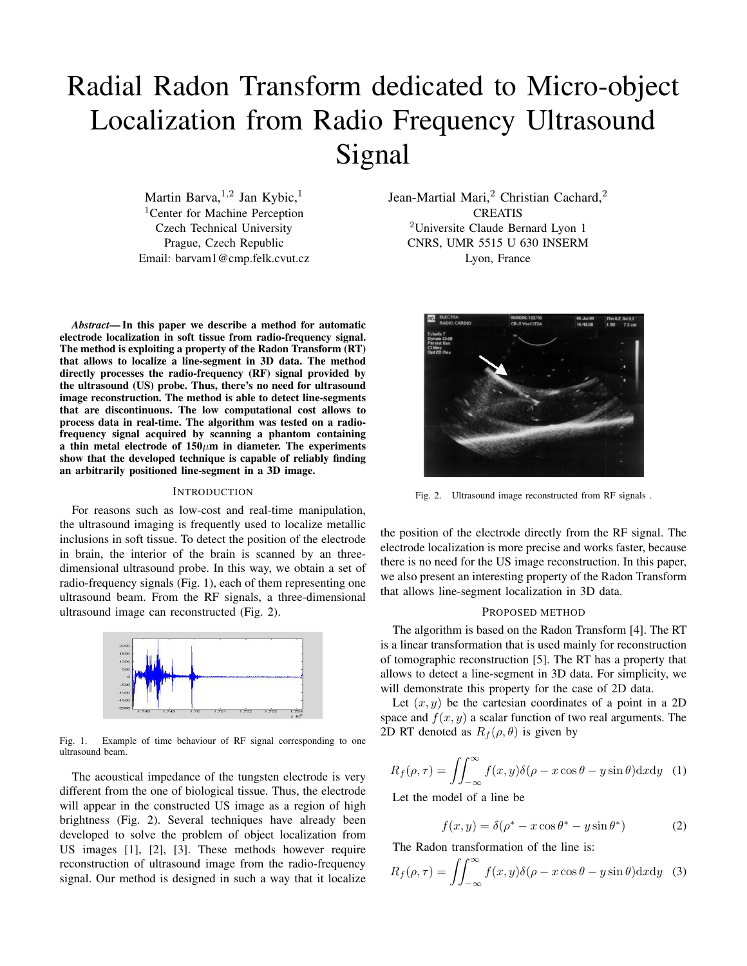# Radial Radon Transform dedicated to Micro-object Localization from Radio Frequency Ultrasound Signal

Martin Barva, 1,2 Jan Kybic, 1 <sup>1</sup>Center for Machine Perception Czech Technical University Prague, Czech Republic Email: barvam1@cmp.felk.cvut.cz

*Abstract***— In this paper we describe a method for automatic electrode localization in soft tissue from radio-frequency signal. The method is exploiting a property of the Radon Transform (RT) that allows to localize a line-segment in 3D data. The method directly processes the radio-frequency (RF) signal provided by the ultrasound (US) probe. Thus, there's no need for ultrasound image reconstruction. The method is able to detect line-segments that are discontinuous. The low computational cost allows to process data in real-time. The algorithm was tested on a radiofrequency signal acquired by scanning a phantom containing a thin metal electrode of 150***µ***m in diameter. The experiments show that the developed technique is capable of reliably finding an arbitrarily positioned line-segment in a 3D image.**

### **INTRODUCTION**

For reasons such as low-cost and real-time manipulation, the ultrasound imaging is frequently used to localize metallic inclusions in soft tissue. To detect the position of the electrode in brain, the interior of the brain is scanned by an threedimensional ultrasound probe. In this way, we obtain a set of radio-frequency signals (Fig. 1), each of them representing one ultrasound beam. From the RF signals, a three-dimensional ultrasound image can reconstructed (Fig. 2).



Fig. 1. Example of time behaviour of RF signal corresponding to one ultrasound beam.

The acoustical impedance of the tungsten electrode is very different from the one of biological tissue. Thus, the electrode will appear in the constructed US image as a region of high brightness (Fig. 2). Several techniques have already been developed to solve the problem of object localization from US images [1], [2], [3]. These methods however require reconstruction of ultrasound image from the radio-frequency signal. Our method is designed in such a way that it localize

Jean-Martial Mari,<sup>2</sup> Christian Cachard,<sup>2</sup> **CREATIS** <sup>2</sup>Universite Claude Bernard Lyon 1 CNRS, UMR 5515 U 630 INSERM Lyon, France



Fig. 2. Ultrasound image reconstructed from RF signals .

the position of the electrode directly from the RF signal. The electrode localization is more precise and works faster, because there is no need for the US image reconstruction. In this paper, we also present an interesting property of the Radon Transform that allows line-segment localization in 3D data.

## PROPOSED METHOD

The algorithm is based on the Radon Transform [4]. The RT is a linear transformation that is used mainly for reconstruction of tomographic reconstruction [5]. The RT has a property that allows to detect a line-segment in 3D data. For simplicity, we will demonstrate this property for the case of 2D data.

Let  $(x, y)$  be the cartesian coordinates of a point in a 2D space and  $f(x, y)$  a scalar function of two real arguments. The 2D RT denoted as  $R_f(\rho, \theta)$  is given by

$$
R_f(\rho, \tau) = \iint_{-\infty}^{\infty} f(x, y) \delta(\rho - x \cos \theta - y \sin \theta) \, dx \, dy \tag{1}
$$

Let the model of a line be

$$
f(x,y) = \delta(\rho^* - x\cos\theta^* - y\sin\theta^*)
$$
 (2)

The Radon transformation of the line is:

$$
R_f(\rho, \tau) = \iint_{-\infty}^{\infty} f(x, y) \delta(\rho - x \cos \theta - y \sin \theta) \, dx \, dy \tag{3}
$$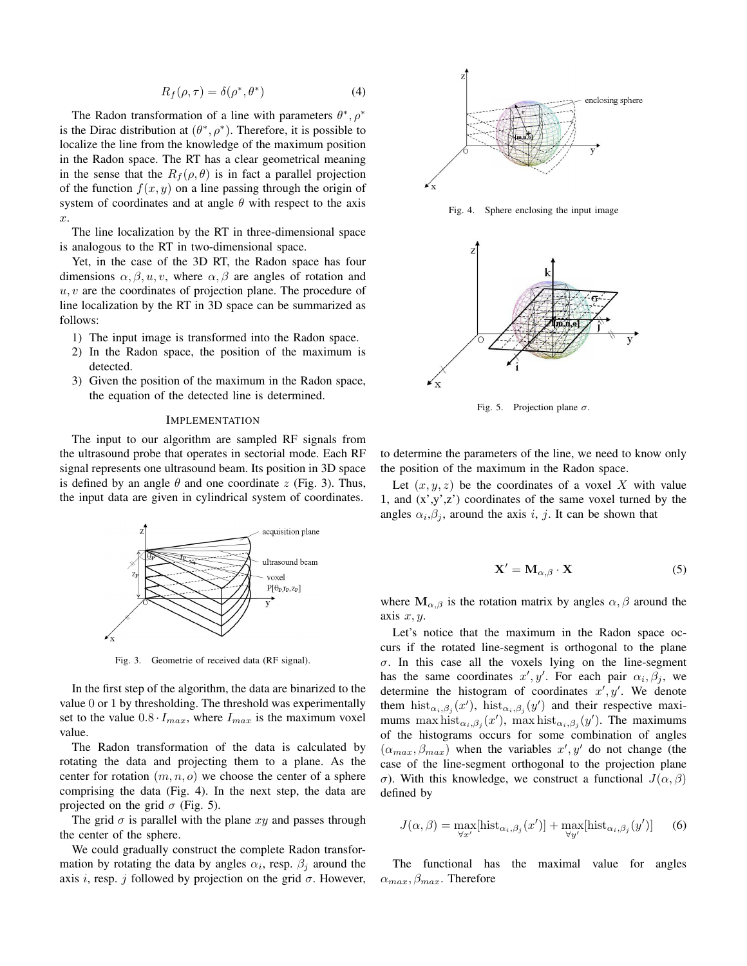$$
R_f(\rho, \tau) = \delta(\rho^*, \theta^*)
$$
 (4)

The Radon transformation of a line with parameters  $\theta^*, \rho^*$ is the Dirac distribution at  $(\theta^*, \rho^*)$ . Therefore, it is possible to localize the line from the knowledge of the maximum position in the Radon space. The RT has a clear geometrical meaning in the sense that the  $R_f(\rho, \theta)$  is in fact a parallel projection of the function  $f(x, y)$  on a line passing through the origin of system of coordinates and at angle  $\theta$  with respect to the axis x.

The line localization by the RT in three-dimensional space is analogous to the RT in two-dimensional space.

Yet, in the case of the 3D RT, the Radon space has four dimensions  $\alpha, \beta, u, v$ , where  $\alpha, \beta$  are angles of rotation and  $u, v$  are the coordinates of projection plane. The procedure of line localization by the RT in 3D space can be summarized as follows:

- 1) The input image is transformed into the Radon space.
- 2) In the Radon space, the position of the maximum is detected.
- 3) Given the position of the maximum in the Radon space, the equation of the detected line is determined.

#### IMPLEMENTATION

The input to our algorithm are sampled RF signals from the ultrasound probe that operates in sectorial mode. Each RF signal represents one ultrasound beam. Its position in 3D space is defined by an angle  $\theta$  and one coordinate z (Fig. 3). Thus, the input data are given in cylindrical system of coordinates.



Fig. 3. Geometrie of received data (RF signal).

In the first step of the algorithm, the data are binarized to the value 0 or 1 by thresholding. The threshold was experimentally set to the value  $0.8 \cdot I_{max}$ , where  $I_{max}$  is the maximum voxel value.

The Radon transformation of the data is calculated by rotating the data and projecting them to a plane. As the center for rotation  $(m, n, o)$  we choose the center of a sphere comprising the data (Fig. 4). In the next step, the data are projected on the grid  $\sigma$  (Fig. 5).

The grid  $\sigma$  is parallel with the plane xy and passes through the center of the sphere.

We could gradually construct the complete Radon transformation by rotating the data by angles  $\alpha_i$ , resp.  $\beta_i$  around the axis i, resp. j followed by projection on the grid  $\sigma$ . However,



Fig. 4. Sphere enclosing the input image



Fig. 5. Projection plane  $\sigma$ .

to determine the parameters of the line, we need to know only the position of the maximum in the Radon space.

Let  $(x, y, z)$  be the coordinates of a voxel X with value 1, and  $(x',y',z')$  coordinates of the same voxel turned by the angles  $\alpha_i, \beta_i$ , around the axis i, j. It can be shown that

$$
\mathbf{X}' = \mathbf{M}_{\alpha,\beta} \cdot \mathbf{X} \tag{5}
$$

where  $M_{\alpha,\beta}$  is the rotation matrix by angles  $\alpha,\beta$  around the axis  $x, y$ .

Let's notice that the maximum in the Radon space occurs if the rotated line-segment is orthogonal to the plane  $\sigma$ . In this case all the voxels lying on the line-segment has the same coordinates  $x', y'$ . For each pair  $\alpha_i, \beta_j$ , we determine the histogram of coordinates  $x', y'$ . We denote them hist $\alpha_{i,\beta_{j}}(x')$ , hist $\alpha_{i,\beta_{j}}(y')$  and their respective maximums max hist $_{\alpha_i,\beta_j}(x')$ , max hist $_{\alpha_i,\beta_j}(y')$ . The maximums of the histograms occurs for some combination of angles  $(\alpha_{max}, \beta_{max})$  when the variables  $x', y'$  do not change (the case of the line-segment orthogonal to the projection plane σ). With this knowledge, we construct a functional  $J(α, β)$ defined by

$$
J(\alpha, \beta) = \max_{\forall x'} [\text{hist}_{\alpha_i, \beta_j}(x')] + \max_{\forall y'} [\text{hist}_{\alpha_i, \beta_j}(y')] \quad (6)
$$

The functional has the maximal value for angles  $\alpha_{max}, \beta_{max}$ . Therefore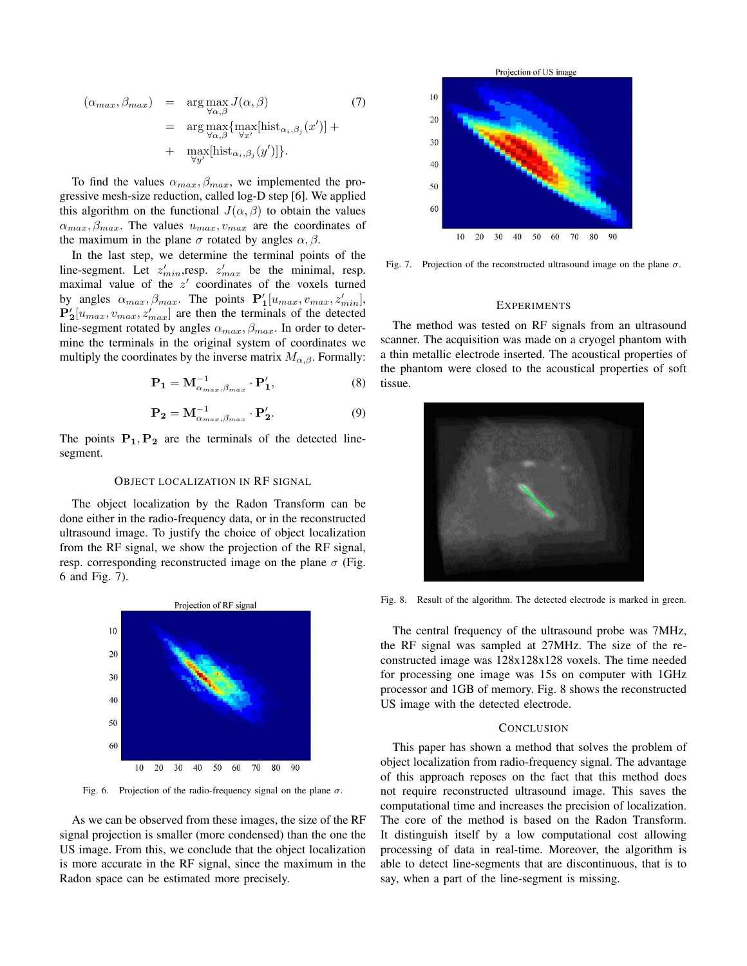$$
(\alpha_{max}, \beta_{max}) = \arg \max_{\forall \alpha, \beta} J(\alpha, \beta)
$$
(7)  

$$
= \arg \max_{\forall \alpha, \beta} \{ \max_{\forall x'} [\text{hist}_{\alpha_i, \beta_j}(x')] +
$$
  

$$
+ \max_{\forall y'} [\text{hist}_{\alpha_i, \beta_j}(y')] \}.
$$

To find the values  $\alpha_{max}, \beta_{max}$ , we implemented the progressive mesh-size reduction, called log-D step [6]. We applied this algorithm on the functional  $J(\alpha, \beta)$  to obtain the values  $\alpha_{max}, \beta_{max}$ . The values  $u_{max}, v_{max}$  are the coordinates of the maximum in the plane  $\sigma$  rotated by angles  $\alpha, \beta$ .

In the last step, we determine the terminal points of the line-segment. Let  $z'_{min}$ , resp.  $z'_{max}$  be the minimal, resp. maximal value of the  $z'$  coordinates of the voxels turned by angles  $\alpha_{max}, \beta_{max}$ . The points  $\mathbf{P}'_1[u_{max}, v_{max}, z'_{min}]$ ,  $P'_2[u_{max}, v_{max}, z'_{max}]$  are then the terminals of the detected line-segment rotated by angles  $\alpha_{max}, \beta_{max}$ . In order to determine the terminals in the original system of coordinates we multiply the coordinates by the inverse matrix  $M_{\alpha,\beta}$ . Formally:

$$
\mathbf{P}_1 = \mathbf{M}_{\alpha_{max},\beta_{max}}^{-1} \cdot \mathbf{P}'_1,\tag{8}
$$

$$
\mathbf{P_2} = \mathbf{M}_{\alpha_{max},\beta_{max}}^{-1} \cdot \mathbf{P_2'}.
$$
 (9)

The points  $P_1$ ,  $P_2$  are the terminals of the detected linesegment.

## OBJECT LOCALIZATION IN RF SIGNAL

The object localization by the Radon Transform can be done either in the radio-frequency data, or in the reconstructed ultrasound image. To justify the choice of object localization from the RF signal, we show the projection of the RF signal, resp. corresponding reconstructed image on the plane  $\sigma$  (Fig. 6 and Fig. 7).



Fig. 6. Projection of the radio-frequency signal on the plane  $\sigma$ .

As we can be observed from these images, the size of the RF signal projection is smaller (more condensed) than the one the US image. From this, we conclude that the object localization is more accurate in the RF signal, since the maximum in the Radon space can be estimated more precisely.



Fig. 7. Projection of the reconstructed ultrasound image on the plane  $\sigma$ .

## EXPERIMENTS

The method was tested on RF signals from an ultrasound scanner. The acquisition was made on a cryogel phantom with a thin metallic electrode inserted. The acoustical properties of the phantom were closed to the acoustical properties of soft tissue.



Fig. 8. Result of the algorithm. The detected electrode is marked in green.

The central frequency of the ultrasound probe was 7MHz, the RF signal was sampled at 27MHz. The size of the reconstructed image was 128x128x128 voxels. The time needed for processing one image was 15s on computer with 1GHz processor and 1GB of memory. Fig. 8 shows the reconstructed US image with the detected electrode.

## **CONCLUSION**

This paper has shown a method that solves the problem of object localization from radio-frequency signal. The advantage of this approach reposes on the fact that this method does not require reconstructed ultrasound image. This saves the computational time and increases the precision of localization. The core of the method is based on the Radon Transform. It distinguish itself by a low computational cost allowing processing of data in real-time. Moreover, the algorithm is able to detect line-segments that are discontinuous, that is to say, when a part of the line-segment is missing.